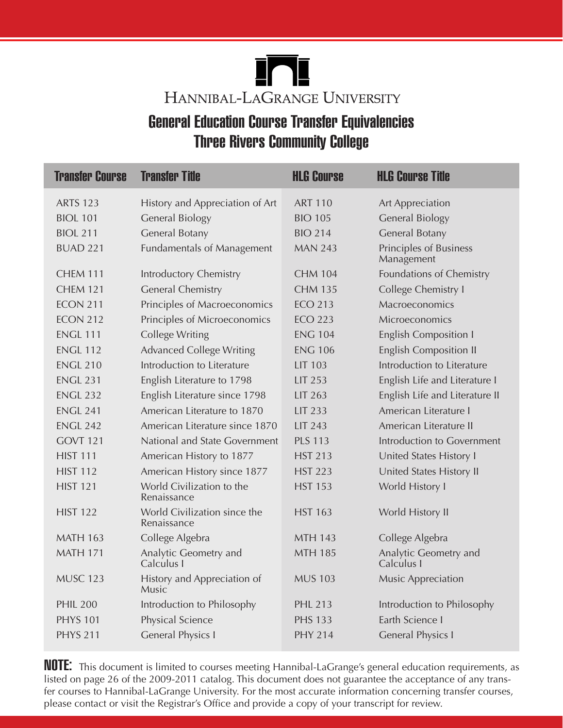

## General Education Course Transfer Equivalencies Three Rivers Community College

| <b>Transfer Course</b> | <b>Transfer Title</b>                       | <b>HLG Course</b> | <b>HLG Course Title</b>              |
|------------------------|---------------------------------------------|-------------------|--------------------------------------|
| <b>ARTS 123</b>        | History and Appreciation of Art             | <b>ART 110</b>    | <b>Art Appreciation</b>              |
| <b>BIOL 101</b>        | <b>General Biology</b>                      | <b>BIO 105</b>    | <b>General Biology</b>               |
| <b>BIOL 211</b>        | General Botany                              | <b>BIO 214</b>    | General Botany                       |
| <b>BUAD 221</b>        | <b>Fundamentals of Management</b>           | <b>MAN 243</b>    | Principles of Business<br>Management |
| CHEM 111               | Introductory Chemistry                      | <b>CHM 104</b>    | Foundations of Chemistry             |
| <b>CHEM 121</b>        | <b>General Chemistry</b>                    | <b>CHM 135</b>    | College Chemistry I                  |
| <b>ECON 211</b>        | Principles of Macroeconomics                | <b>ECO 213</b>    | Macroeconomics                       |
| <b>ECON 212</b>        | Principles of Microeconomics                | <b>ECO 223</b>    | Microeconomics                       |
| <b>ENGL 111</b>        | <b>College Writing</b>                      | <b>ENG 104</b>    | <b>English Composition I</b>         |
| <b>ENGL 112</b>        | <b>Advanced College Writing</b>             | <b>ENG 106</b>    | <b>English Composition II</b>        |
| <b>ENGL 210</b>        | Introduction to Literature                  | <b>LIT 103</b>    | Introduction to Literature           |
| <b>ENGL 231</b>        | English Literature to 1798                  | LIT 253           | English Life and Literature I        |
| <b>ENGL 232</b>        | English Literature since 1798               | LIT 263           | English Life and Literature II       |
| <b>ENGL 241</b>        | American Literature to 1870                 | <b>LIT 233</b>    | American Literature I                |
| <b>ENGL 242</b>        | American Literature since 1870              | LIT 243           | American Literature II               |
| GOVT <sub>121</sub>    | National and State Government               | <b>PLS 113</b>    | Introduction to Government           |
| <b>HIST 111</b>        | American History to 1877                    | <b>HST 213</b>    | United States History I              |
| <b>HIST 112</b>        | American History since 1877                 | <b>HST 223</b>    | United States History II             |
| <b>HIST 121</b>        | World Civilization to the<br>Renaissance    | <b>HST 153</b>    | World History I                      |
| <b>HIST 122</b>        | World Civilization since the<br>Renaissance | <b>HST 163</b>    | World History II                     |
| <b>MATH 163</b>        | College Algebra                             | <b>MTH 143</b>    | College Algebra                      |
| <b>MATH 171</b>        | Analytic Geometry and<br>Calculus I         | <b>MTH 185</b>    | Analytic Geometry and<br>Calculus I  |
| <b>MUSC 123</b>        | History and Appreciation of<br>Music        | <b>MUS 103</b>    | Music Appreciation                   |
| <b>PHIL 200</b>        | Introduction to Philosophy                  | <b>PHL 213</b>    | Introduction to Philosophy           |
| <b>PHYS 101</b>        | Physical Science                            | <b>PHS 133</b>    | Earth Science I                      |
| <b>PHYS 211</b>        | <b>General Physics I</b>                    | <b>PHY 214</b>    | <b>General Physics I</b>             |
|                        |                                             |                   |                                      |

**NOTE:** This document is limited to courses meeting Hannibal-LaGrange's general education requirements, as listed on page 26 of the 2009-2011 catalog. This document does not guarantee the acceptance of any transfer courses to Hannibal-LaGrange University. For the most accurate information concerning transfer courses, please contact or visit the Registrar's Office and provide a copy of your transcript for review.